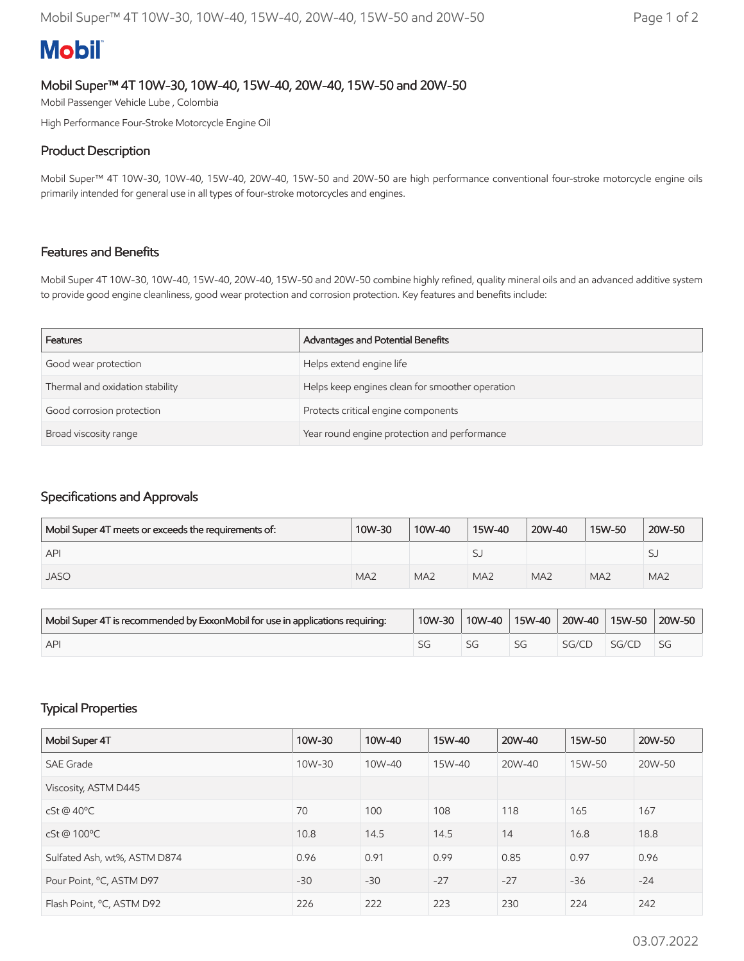# **Mobil**

## Mobil Super™ 4T 10W-30, 10W-40, 15W-40, 20W-40, 15W-50 and 20W-50

Mobil Passenger Vehicle Lube , Colombia

High Performance Four-Stroke Motorcycle Engine Oil

### Product Description

Mobil Super™ 4T 10W-30, 10W-40, 15W-40, 20W-40, 15W-50 and 20W-50 are high performance conventional four-stroke motorcycle engine oils primarily intended for general use in all types of four-stroke motorcycles and engines.

#### Features and Benefits

Mobil Super 4T 10W-30, 10W-40, 15W-40, 20W-40, 15W-50 and 20W-50 combine highly refined, quality mineral oils and an advanced additive system to provide good engine cleanliness, good wear protection and corrosion protection. Key features and benefits include:

| Features                        | Advantages and Potential Benefits               |
|---------------------------------|-------------------------------------------------|
| Good wear protection            | Helps extend engine life                        |
| Thermal and oxidation stability | Helps keep engines clean for smoother operation |
| Good corrosion protection       | Protects critical engine components             |
| Broad viscosity range           | Year round engine protection and performance    |

## Specifications and Approvals

| Mobil Super 4T meets or exceeds the requirements of: | 10W-30          | 10W-40          | 15W-40          | 20W-40          | 15W-50          | 20W-50          |
|------------------------------------------------------|-----------------|-----------------|-----------------|-----------------|-----------------|-----------------|
| <b>API</b>                                           |                 |                 | SJ              |                 |                 | رد              |
| <b>JASO</b>                                          | MA <sub>2</sub> | MA <sub>2</sub> | MA <sub>2</sub> | MA <sub>2</sub> | MA <sub>2</sub> | MA <sub>2</sub> |

| Mobil Super 4T is recommended by ExxonMobil for use in applications requiring: | 10W-30 | 10W-40 | 15W-40 | 20W-40 | 15W-50 | 20W-50    |
|--------------------------------------------------------------------------------|--------|--------|--------|--------|--------|-----------|
| <b>API</b>                                                                     | 59     |        | SG     | SG/CL  | SG/CI  | <b>SG</b> |

## Typical Properties

| Mobil Super 4T               | 10W-30 | 10W-40 | 15W-40 | 20W-40 | 15W-50 | 20W-50 |
|------------------------------|--------|--------|--------|--------|--------|--------|
| <b>SAE Grade</b>             | 10W-30 | 10W-40 | 15W-40 | 20W-40 | 15W-50 | 20W-50 |
| Viscosity, ASTM D445         |        |        |        |        |        |        |
| cSt @ 40°C                   | 70     | 100    | 108    | 118    | 165    | 167    |
| cSt@100°C                    | 10.8   | 14.5   | 14.5   | 14     | 16.8   | 18.8   |
| Sulfated Ash, wt%, ASTM D874 | 0.96   | 0.91   | 0.99   | 0.85   | 0.97   | 0.96   |
| Pour Point, °C, ASTM D97     | $-30$  | $-30$  | $-27$  | $-27$  | $-36$  | $-24$  |
| Flash Point, °C, ASTM D92    | 226    | 222    | 223    | 230    | 224    | 242    |